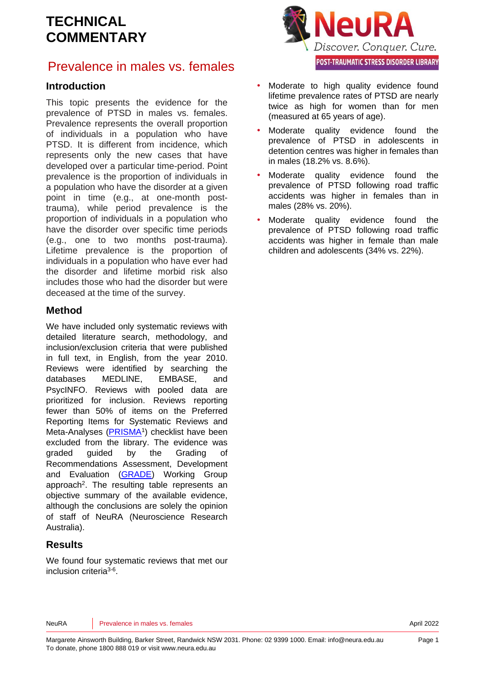## Prevalence in males vs. females



This topic presents the evidence for the prevalence of PTSD in males vs. females. Prevalence represents the overall proportion of individuals in a population who have PTSD. It is different from incidence, which represents only the new cases that have developed over a particular time-period. Point prevalence is the proportion of individuals in a population who have the disorder at a given point in time (e.g., at one-month posttrauma), while period prevalence is the proportion of individuals in a population who have the disorder over specific time periods (e.g., one to two months post-trauma). Lifetime prevalence is the proportion of individuals in a population who have ever had the disorder and lifetime morbid risk also includes those who had the disorder but were deceased at the time of the survey.

#### **Method**

We have included only systematic reviews with detailed literature search, methodology, and inclusion/exclusion criteria that were published in full text, in English, from the year 2010. Reviews were identified by searching the databases MEDLINE, EMBASE, and PsycINFO. Reviews with pooled data are prioritized for inclusion. Reviews reporting fewer than 50% of items on the Preferred Reporting Items for Systematic Reviews and Meta-Analyses [\(PRISMA](http://www.prisma-statement.org/)<sup>[1](#page-6-0)</sup>) checklist have been excluded from the library. The evidence was graded guided by the Grading of Recommendations Assessment, Development and Evaluation [\(GRADE\)](http://www.gradeworkinggroup.org/) Working Group approach<sup>2</sup>[.](#page-6-1) The resulting table represents an objective summary of the available evidence, although the conclusions are solely the opinion of staff of NeuRA (Neuroscience Research Australia).

#### **Results**

We found four systematic reviews that met our inclusion criteria<sup>[3-6](#page-6-2)</sup>.



- Moderate to high quality evidence found lifetime prevalence rates of PTSD are nearly twice as high for women than for men (measured at 65 years of age).
- Moderate quality evidence found the prevalence of PTSD in adolescents in detention centres was higher in females than in males (18.2% vs. 8.6%).
- Moderate quality evidence found the prevalence of PTSD following road traffic accidents was higher in females than in males (28% vs. 20%).
- Moderate quality evidence found the prevalence of PTSD following road traffic accidents was higher in female than male children and adolescents (34% vs. 22%).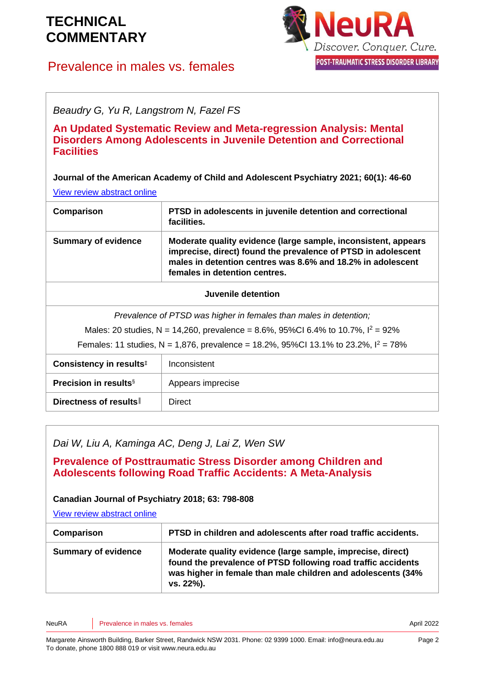## Prevalence in males vs. females



*Beaudry G, Yu R, Langstrom N, Fazel FS*

**An Updated Systematic Review and Meta-regression Analysis: Mental Disorders Among Adolescents in Juvenile Detention and Correctional Facilities** 

**Journal of the American Academy of Child and Adolescent Psychiatry 2021; 60(1): 46-60**

[View review abstract online](https://pubmed.ncbi.nlm.nih.gov/32035113/)

| Comparison                                                        | PTSD in adolescents in juvenile detention and correctional<br>facilities.                                                                                                                                                       |
|-------------------------------------------------------------------|---------------------------------------------------------------------------------------------------------------------------------------------------------------------------------------------------------------------------------|
| <b>Summary of evidence</b>                                        | Moderate quality evidence (large sample, inconsistent, appears<br>imprecise, direct) found the prevalence of PTSD in adolescent<br>males in detention centres was 8.6% and 18.2% in adolescent<br>females in detention centres. |
| Juvenile detention                                                |                                                                                                                                                                                                                                 |
| Prevalence of PTSD was higher in females than males in detention; |                                                                                                                                                                                                                                 |

Males: 20 studies, N = 14,260, prevalence = 8.6%, 95%CI 6.4% to 10.7%,  $I^2 = 92\%$ 

Females: 11 studies, N = 1,876, prevalence = 18.2%, 95%CI 13.1% to 23.2%,  $I^2 = 78\%$ 

| Consistency in results <sup>#</sup>      | Inconsistent      |
|------------------------------------------|-------------------|
| <b>Precision in results</b> <sup>§</sup> | Appears imprecise |
| Directness of results                    | <b>Direct</b>     |

*Dai W, Liu A, Kaminga AC, Deng J, Lai Z, Wen SW*

**Prevalence of Posttraumatic Stress Disorder among Children and Adolescents following Road Traffic Accidents: A Meta-Analysis** 

**Canadian Journal of Psychiatry 2018; 63: 798-808**

[View review abstract online](https://pubmed.ncbi.nlm.nih.gov/30081648/)

| Comparison                 | PTSD in children and adolescents after road traffic accidents.                                                                                                                                            |
|----------------------------|-----------------------------------------------------------------------------------------------------------------------------------------------------------------------------------------------------------|
| <b>Summary of evidence</b> | Moderate quality evidence (large sample, imprecise, direct)<br>found the prevalence of PTSD following road traffic accidents<br>was higher in female than male children and adolescents (34%<br>vs. 22%). |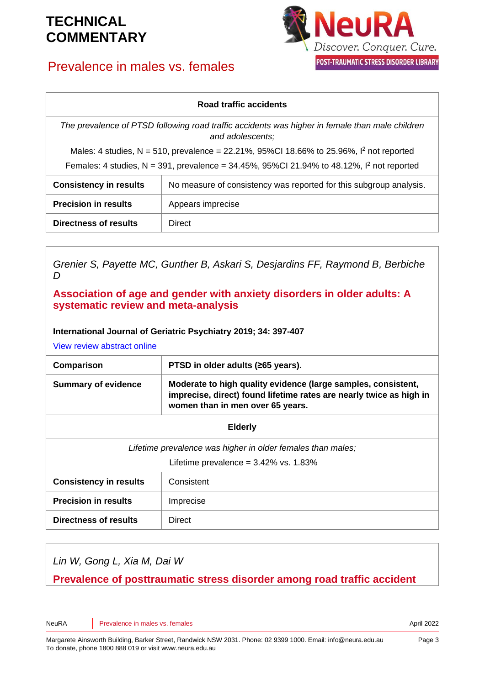## Prevalence in males vs. females



#### **Road traffic accidents**

*The prevalence of PTSD following road traffic accidents was higher in female than male children and adolescents;* 

Males: 4 studies, N = 510, prevalence = 22.21%, 95%CI 18.66% to 25.96%,  $1^2$  not reported

Females: 4 studies, N = 391, prevalence = 34.45%, 95%CI 21.94% to 48.12%,  $I^2$  not reported

| <b>Consistency in results</b> | No measure of consistency was reported for this subgroup analysis. |
|-------------------------------|--------------------------------------------------------------------|
| <b>Precision in results</b>   | Appears imprecise                                                  |
| <b>Directness of results</b>  | Direct                                                             |

*Grenier S, Payette MC, Gunther B, Askari S, Desjardins FF, Raymond B, Berbiche D*

#### **Association of age and gender with anxiety disorders in older adults: A systematic review and meta-analysis**

#### **International Journal of Geriatric Psychiatry 2019; 34: 397-407**

[View review abstract online](https://pubmed.ncbi.nlm.nih.gov/30444008/)

| Comparison                 | PTSD in older adults (≥65 years).                                                                                                                                        |
|----------------------------|--------------------------------------------------------------------------------------------------------------------------------------------------------------------------|
| <b>Summary of evidence</b> | Moderate to high quality evidence (large samples, consistent,<br>imprecise, direct) found lifetime rates are nearly twice as high in<br>women than in men over 65 years. |
| <b>Elderly</b>             |                                                                                                                                                                          |

| Lifetime prevalence was higher in older females than males; |                      |
|-------------------------------------------------------------|----------------------|
| Lifetime prevalence = $3.42\%$ vs. 1.83%                    |                      |
| the contract of the contract of the contract of             | $\sim$ $\sim$ $\sim$ |

| <b>Consistency in results</b> | Consistent |
|-------------------------------|------------|
| <b>Precision in results</b>   | Imprecise  |
| <b>Directness of results</b>  | Direct     |

*Lin W, Gong L, Xia M, Dai W*

**Prevalence of posttraumatic stress disorder among road traffic accident**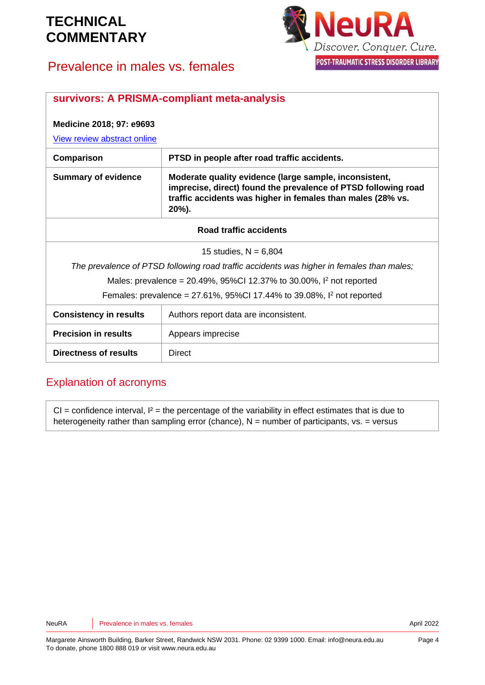

## Prevalence in males vs. females

| survivors: A PRISMA-compliant meta-analysis                                               |                                                                                                                                                                                                  |
|-------------------------------------------------------------------------------------------|--------------------------------------------------------------------------------------------------------------------------------------------------------------------------------------------------|
| Medicine 2018; 97: e9693                                                                  |                                                                                                                                                                                                  |
| View review abstract online                                                               |                                                                                                                                                                                                  |
| Comparison                                                                                | PTSD in people after road traffic accidents.                                                                                                                                                     |
| <b>Summary of evidence</b>                                                                | Moderate quality evidence (large sample, inconsistent,<br>imprecise, direct) found the prevalence of PTSD following road<br>traffic accidents was higher in females than males (28% vs.<br>20%). |
| Road traffic accidents                                                                    |                                                                                                                                                                                                  |
| 15 studies, $N = 6,804$                                                                   |                                                                                                                                                                                                  |
| The prevalence of PTSD following road traffic accidents was higher in females than males; |                                                                                                                                                                                                  |
| Males: prevalence = 20.49%, 95%Cl 12.37% to 30.00%, $1^2$ not reported                    |                                                                                                                                                                                                  |
| Females: prevalence = 27.61%, 95%CI 17.44% to 39.08%, $1^2$ not reported                  |                                                                                                                                                                                                  |
| <b>Consistency in results</b>                                                             | Authors report data are inconsistent.                                                                                                                                                            |
| <b>Precision in results</b>                                                               | Appears imprecise                                                                                                                                                                                |
| <b>Directness of results</b>                                                              | Direct                                                                                                                                                                                           |

#### Explanation of acronyms

 $CI =$  confidence interval,  $I^2 =$  the percentage of the variability in effect estimates that is due to heterogeneity rather than sampling error (chance),  $N =$  number of participants,  $vs. =$  versus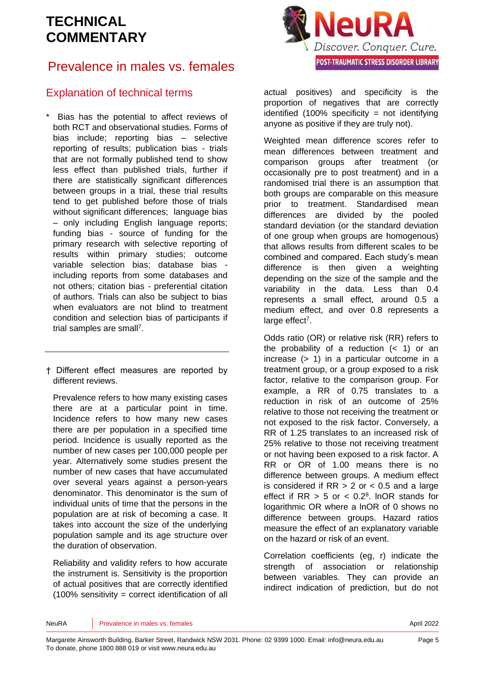## Prevalence in males vs. females

### Explanation of technical terms

Bias has the potential to affect reviews of both RCT and observational studies. Forms of bias include; reporting bias – selective reporting of results; publication bias - trials that are not formally published tend to show less effect than published trials, further if there are statistically significant differences between groups in a trial, these trial results tend to get published before those of trials without significant differences: language bias – only including English language reports; funding bias - source of funding for the primary research with selective reporting of results within primary studies; outcome variable selection bias; database bias including reports from some databases and not others; citation bias - preferential citation of authors. Trials can also be subject to bias when evaluators are not blind to treatment condition and selection bias of participants if trial samples are sma[ll](#page-6-3)<sup>7</sup>.

† Different effect measures are reported by different reviews.

Prevalence refers to how many existing cases there are at a particular point in time. Incidence refers to how many new cases there are per population in a specified time period. Incidence is usually reported as the number of new cases per 100,000 people per year. Alternatively some studies present the number of new cases that have accumulated over several years against a person-years denominator. This denominator is the sum of individual units of time that the persons in the population are at risk of becoming a case. It takes into account the size of the underlying population sample and its age structure over the duration of observation.

Reliability and validity refers to how accurate the instrument is. Sensitivity is the proportion of actual positives that are correctly identified (100% sensitivity = correct identification of all



actual positives) and specificity is the proportion of negatives that are correctly identified  $(100\%$  specificity = not identifying anyone as positive if they are truly not).

Weighted mean difference scores refer to mean differences between treatment and comparison groups after treatment (or occasionally pre to post treatment) and in a randomised trial there is an assumption that both groups are comparable on this measure prior to treatment. Standardised mean differences are divided by the pooled standard deviation (or the standard deviation of one group when groups are homogenous) that allows results from different scales to be combined and compared. Each study's mean difference is then given a weighting depending on the size of the sample and the variability in the data. Less than 0.4 represents a small effect, around 0.5 a medium effect, and over 0.8 represents a large effect<sup>[7](#page-6-3)</sup>.

Odds ratio (OR) or relative risk (RR) refers to the probability of a reduction  $($  1) or an increase (> 1) in a particular outcome in a treatment group, or a group exposed to a risk factor, relative to the comparison group. For example, a RR of 0.75 translates to a reduction in risk of an outcome of 25% relative to those not receiving the treatment or not exposed to the risk factor. Conversely, a RR of 1.25 translates to an increased risk of 25% relative to those not receiving treatment or not having been exposed to a risk factor. A RR or OR of 1.00 means there is no difference between groups. A medium effect is considered if  $RR > 2$  or  $< 0.5$  and a large effect if  $RR > 5$  or  $< 0.2<sup>8</sup>$  $< 0.2<sup>8</sup>$  $< 0.2<sup>8</sup>$ . InOR stands for logarithmic OR where a lnOR of 0 shows no difference between groups. Hazard ratios measure the effect of an explanatory variable on the hazard or risk of an event.

Correlation coefficients (eg, r) indicate the strength of association or relationship between variables. They can provide an indirect indication of prediction, but do not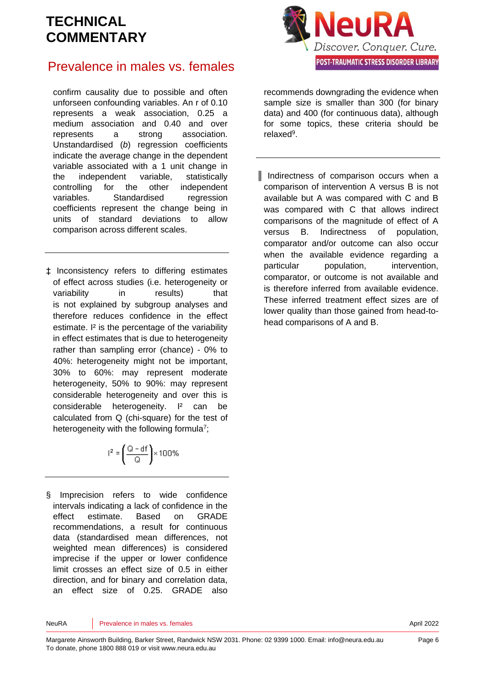

### Prevalence in males vs. females

confirm causality due to possible and often unforseen confounding variables. An r of 0.10 represents a weak association, 0.25 a medium association and 0.40 and over represents a strong association. Unstandardised (*b*) regression coefficients indicate the average change in the dependent variable associated with a 1 unit change in the independent variable, statistically controlling for the other independent variables. Standardised regression coefficients represent the change being in units of standard deviations to allow comparison across different scales.

‡ Inconsistency refers to differing estimates of effect across studies (i.e. heterogeneity or variability in results) that is not explained by subgroup analyses and therefore reduces confidence in the effect estimate. I² is the percentage of the variability in effect estimates that is due to heterogeneity rather than sampling error (chance) - 0% to 40%: heterogeneity might not be important, 30% to 60%: may represent moderate heterogeneity, 50% to 90%: may represent considerable heterogeneity and over this is considerable heterogeneity. I² can be calculated from Q (chi-square) for the test of heterogeneity with the following formul[a](#page-6-3)<sup>7</sup>;

$$
r^2 = \left(\frac{Q - df}{Q}\right) \times 100\%
$$

§ Imprecision refers to wide confidence intervals indicating a lack of confidence in the effect estimate. Based on GRADE recommendations, a result for continuous data (standardised mean differences, not weighted mean differences) is considered imprecise if the upper or lower confidence limit crosses an effect size of 0.5 in either direction, and for binary and correlation data, an effect size of 0.25. GRADE also

recommends downgrading the evidence when sample size is smaller than 300 (for binary data) and 400 (for continuous data), although for some topics, these criteria should be relaxe[d](#page-6-5)<sup>9</sup>.

║ Indirectness of comparison occurs when a comparison of intervention A versus B is not available but A was compared with C and B was compared with C that allows indirect comparisons of the magnitude of effect of A versus B. Indirectness of population, comparator and/or outcome can also occur when the available evidence regarding a particular population, intervention, comparator, or outcome is not available and is therefore inferred from available evidence. These inferred treatment effect sizes are of lower quality than those gained from head-tohead comparisons of A and B.